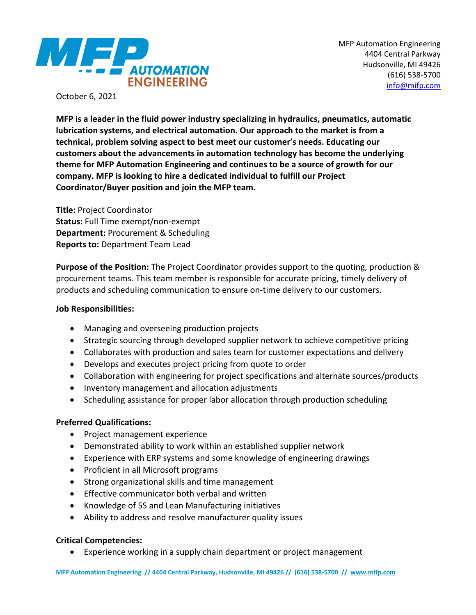

October 6, 2021

**MFP is a leader in the fluid power industry specializing in hydraulics, pneumatics, automatic lubrication systems, and electrical automation. Our approach to the market is from a technical, problem solving aspect to best meet our customer's needs. Educating our customers about the advancements in automation technology has become the underlying theme for MFP Automation Engineering and continues to be a source of growth for our company. MFP is looking to hire a dedicated individual to fulfill our Project Coordinator/Buyer position and join the MFP team.**

**Title:** Project Coordinator **Status:** Full Time exempt/non-exempt **Department:** Procurement & Scheduling **Reports to:** Department Team Lead

**Purpose of the Position:** The Project Coordinator provides support to the quoting, production & procurement teams. This team member is responsible for accurate pricing, timely delivery of products and scheduling communication to ensure on-time delivery to our customers.

#### **Job Responsibilities:**

- Managing and overseeing production projects
- Strategic sourcing through developed supplier network to achieve competitive pricing
- Collaborates with production and sales team for customer expectations and delivery
- Develops and executes project pricing from quote to order
- Collaboration with engineering for project specifications and alternate sources/products
- Inventory management and allocation adjustments
- Scheduling assistance for proper labor allocation through production scheduling

# **Preferred Qualifications:**

- Project management experience
- Demonstrated ability to work within an established supplier network
- Experience with ERP systems and some knowledge of engineering drawings
- Proficient in all Microsoft programs
- Strong organizational skills and time management
- Effective communicator both verbal and written
- Knowledge of 5S and Lean Manufacturing initiatives
- Ability to address and resolve manufacturer quality issues

# **Critical Competencies:**

• Experience working in a supply chain department or project management